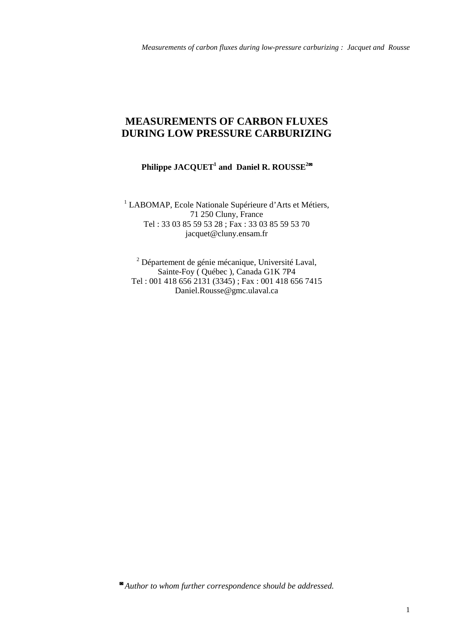# **MEASUREMENTS OF CARBON FLUXES DURING LOW PRESSURE CARBURIZING**

## $\mathbf{Philippe\ JACQUET}^{1}$  and  $\mathbf{ Daniel\ R.\ ROUSSE}^{2\varpi}$

<sup>1</sup> LABOMAP, Ecole Nationale Supérieure d'Arts et Métiers, 71 250 Cluny, France Tel : 33 03 85 59 53 28 ; Fax : 33 03 85 59 53 70 jacquet@cluny.ensam.fr

<sup>2</sup> Département de génie mécanique, Université Laval, Sainte-Foy ( Québec ), Canada G1K 7P4 Tel : 001 418 656 2131 (3345) ; Fax : 001 418 656 7415 Daniel.Rousse@gmc.ulaval.ca

✉  *Author to whom further correspondence should be addressed.*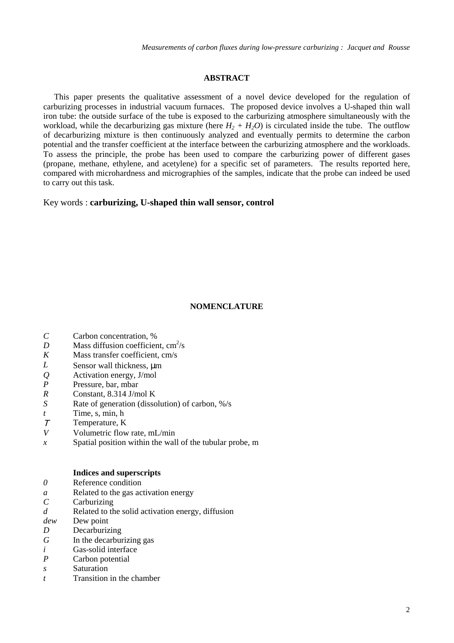#### **ABSTRACT**

This paper presents the qualitative assessment of a novel device developed for the regulation of carburizing processes in industrial vacuum furnaces. The proposed device involves a U-shaped thin wall iron tube: the outside surface of the tube is exposed to the carburizing atmosphere simultaneously with the workload, while the decarburizing gas mixture (here  $H_2 + H_2O$ ) is circulated inside the tube. The outflow of decarburizing mixture is then continuously analyzed and eventually permits to determine the carbon potential and the transfer coefficient at the interface between the carburizing atmosphere and the workloads. To assess the principle, the probe has been used to compare the carburizing power of different gases (propane, methane, ethylene, and acetylene) for a specific set of parameters. The results reported here, compared with microhardness and micrographies of the samples, indicate that the probe can indeed be used to carry out this task.

Key words : **carburizing, U-shaped thin wall sensor, control**

### **NOMENCLATURE**

- *C* Carbon concentration, %
- *D* Mass diffusion coefficient,  $\text{cm}^2/\text{s}$
- *K* Mass transfer coefficient, cm/s
- *L* Sensor wall thickness,  $\mu$ m
- *Q* Activation energy, J/mol
- *P* Pressure, bar, mbar
- *R* Constant, 8.314 J/mol K
- *S* Rate of generation (dissolution) of carbon, %/s
- *t* Time, s, min, h
- <sup>Τ</sup> Temperature, K
- *V* Volumetric flow rate, mL/min
- *x* Spatial position within the wall of the tubular probe, m

### **Indices and superscripts**

- *0* Reference condition
- *a* Related to the gas activation energy
- *C* Carburizing
- *d* Related to the solid activation energy, diffusion
- *dew* Dew point
- *D* Decarburizing
- *G* In the decarburizing gas
- *i* Gas-solid interface
- *P* Carbon potential
- *s* Saturation
- *t* Transition in the chamber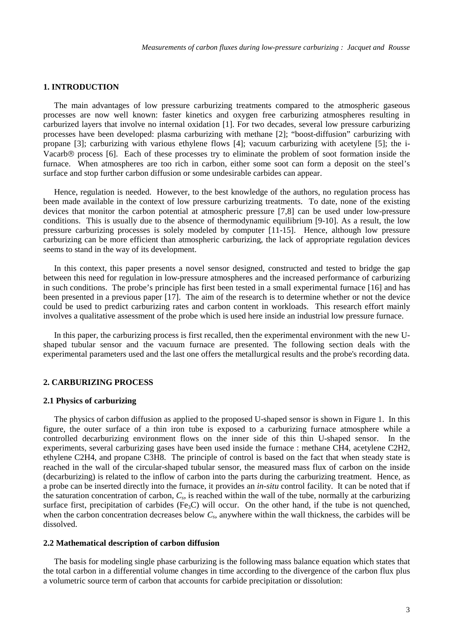### **1. INTRODUCTION**

The main advantages of low pressure carburizing treatments compared to the atmospheric gaseous processes are now well known: faster kinetics and oxygen free carburizing atmospheres resulting in carburized layers that involve no internal oxidation [1]. For two decades, several low pressure carburizing processes have been developed: plasma carburizing with methane [2]; "boost-diffusion" carburizing with propane [3]; carburizing with various ethylene flows [4]; vacuum carburizing with acetylene [5]; the i-Vacarb<sup>®</sup> process [6]. Each of these processes try to eliminate the problem of soot formation inside the furnace. When atmospheres are too rich in carbon, either some soot can form a deposit on the steel's surface and stop further carbon diffusion or some undesirable carbides can appear.

Hence, regulation is needed. However, to the best knowledge of the authors, no regulation process has been made available in the context of low pressure carburizing treatments. To date, none of the existing devices that monitor the carbon potential at atmospheric pressure [7,8] can be used under low-pressure conditions. This is usually due to the absence of thermodynamic equilibrium [9-10]. As a result, the low pressure carburizing processes is solely modeled by computer [11-15]. Hence, although low pressure carburizing can be more efficient than atmospheric carburizing, the lack of appropriate regulation devices seems to stand in the way of its development.

In this context, this paper presents a novel sensor designed, constructed and tested to bridge the gap between this need for regulation in low-pressure atmospheres and the increased performance of carburizing in such conditions. The probe's principle has first been tested in a small experimental furnace [16] and has been presented in a previous paper [17]. The aim of the research is to determine whether or not the device could be used to predict carburizing rates and carbon content in workloads. This research effort mainly involves a qualitative assessment of the probe which is used here inside an industrial low pressure furnace.

In this paper, the carburizing process is first recalled, then the experimental environment with the new Ushaped tubular sensor and the vacuum furnace are presented. The following section deals with the experimental parameters used and the last one offers the metallurgical results and the probe's recording data.

### **2. CARBURIZING PROCESS**

#### **2.1 Physics of carburizing**

The physics of carbon diffusion as applied to the proposed U-shaped sensor is shown in Figure 1. In this figure, the outer surface of a thin iron tube is exposed to a carburizing furnace atmosphere while a controlled decarburizing environment flows on the inner side of this thin U-shaped sensor. In the experiments, several carburizing gases have been used inside the furnace : methane CH4, acetylene C2H2, ethylene C2H4, and propane C3H8. The principle of control is based on the fact that when steady state is reached in the wall of the circular-shaped tubular sensor, the measured mass flux of carbon on the inside (decarburizing) is related to the inflow of carbon into the parts during the carburizing treatment. Hence, as a probe can be inserted directly into the furnace, it provides an *in-situ* control facility. It can be noted that if the saturation concentration of carbon, *Cs*, is reached within the wall of the tube, normally at the carburizing surface first, precipitation of carbides (Fe<sub>3</sub>C) will occur. On the other hand, if the tube is not quenched, when the carbon concentration decreases below  $C_s$ , anywhere within the wall thickness, the carbides will be dissolved.

### **2.2 Mathematical description of carbon diffusion**

The basis for modeling single phase carburizing is the following mass balance equation which states that the total carbon in a differential volume changes in time according to the divergence of the carbon flux plus a volumetric source term of carbon that accounts for carbide precipitation or dissolution: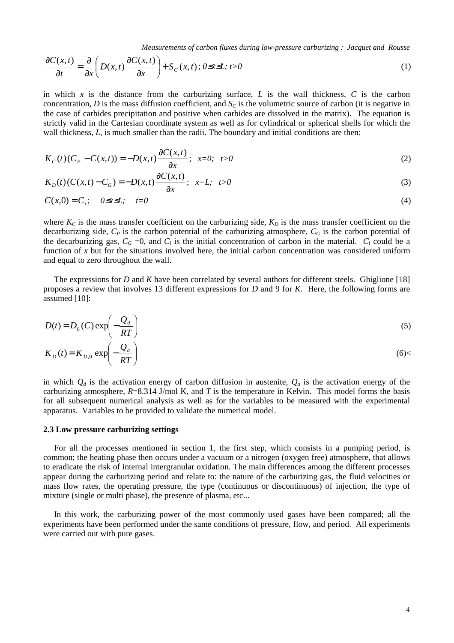*Measurements of carbon fluxes during low-pressure carburizing : Jacquet and Rousse*

$$
\frac{\partial C(x,t)}{\partial t} = \frac{\partial}{\partial x} \left( D(x,t) \frac{\partial C(x,t)}{\partial x} \right) + S_C(x,t); 0 \le x \le L; t > 0
$$
\n(1)

in which  $x$  is the distance from the carburizing surface,  $L$  is the wall thickness,  $C$  is the carbon concentration, *D* is the mass diffusion coefficient, and  $S<sub>C</sub>$  is the volumetric source of carbon (it is negative in the case of carbides precipitation and positive when carbides are dissolved in the matrix). The equation is strictly valid in the Cartesian coordinate system as well as for cylindrical or spherical shells for which the wall thickness, *L*, is much smaller than the radii. The boundary and initial conditions are then:

$$
K_C(t)(C_p - C(x,t)) = -D(x,t)\frac{\partial C(x,t)}{\partial x}; \ \ x=0; \ \ t>0
$$
\n(2)

$$
K_D(t)(C(x,t) - C_G) = -D(x,t)\frac{\partial C(x,t)}{\partial x}; \quad x = L; \quad t > 0
$$
\n
$$
(3)
$$

$$
C(x,0) = C_i; \quad 0 \le x \le 1; \quad t=0
$$
 (4)

where  $K_C$  is the mass transfer coefficient on the carburizing side,  $K_D$  is the mass transfer coefficient on the decarburizing side,  $C_P$  is the carbon potential of the carburizing atmosphere,  $C_G$  is the carbon potential of the decarburizing gas,  $C_G = 0$ , and  $C_i$  is the initial concentration of carbon in the material.  $C_i$  could be a function of x but for the situations involved here, the initial carbon concentration was considered uniform and equal to zero throughout the wall.

The expressions for *D* and *K* have been correlated by several authors for different steels. Ghiglione [18] proposes a review that involves 13 different expressions for *D* and 9 for *K*. Here, the following forms are assumed [10]:

$$
D(t) = D_0(C) \exp\left(-\frac{Q_d}{RT}\right)
$$
  
\n
$$
K_D(t) = K_{D,0} \exp\left(-\frac{Q_a}{RT}\right)
$$
\n(6)

in which  $Q_d$  is the activation energy of carbon diffusion in austenite,  $Q_a$  is the activation energy of the carburizing atmosphere,  $R=8.314$  J/mol K, and T is the temperature in Kelvin. This model forms the basis for all subsequent numerical analysis as well as for the variables to be measured with the experimental apparatus. Variables to be provided to validate the numerical model.

### **2.3 Low pressure carburizing settings**

For all the processes mentioned in section 1, the first step, which consists in a pumping period, is common; the heating phase then occurs under a vacuum or a nitrogen (oxygen free) atmosphere, that allows to eradicate the risk of internal intergranular oxidation. The main differences among the different processes appear during the carburizing period and relate to: the nature of the carburizing gas, the fluid velocities or mass flow rates, the operating pressure, the type (continuous or discontinuous) of injection, the type of mixture (single or multi phase), the presence of plasma, etc...

In this work, the carburizing power of the most commonly used gases have been compared; all the experiments have been performed under the same conditions of pressure, flow, and period. All experiments were carried out with pure gases.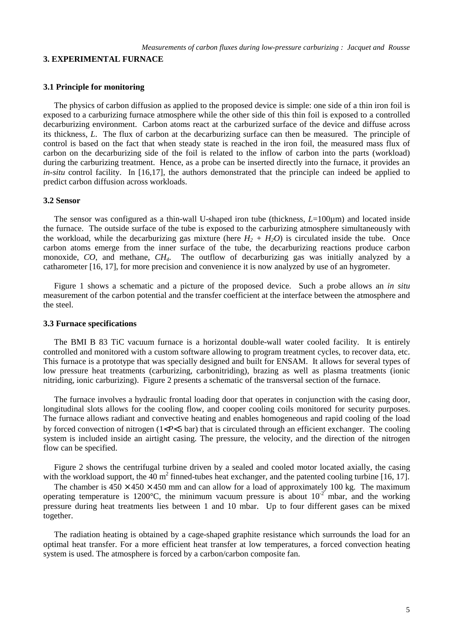#### **3. EXPERIMENTAL FURNACE**

### **3.1 Principle for monitoring**

The physics of carbon diffusion as applied to the proposed device is simple: one side of a thin iron foil is exposed to a carburizing furnace atmosphere while the other side of this thin foil is exposed to a controlled decarburizing environment. Carbon atoms react at the carburized surface of the device and diffuse across its thickness, *L*. The flux of carbon at the decarburizing surface can then be measured. The principle of control is based on the fact that when steady state is reached in the iron foil, the measured mass flux of carbon on the decarburizing side of the foil is related to the inflow of carbon into the parts (workload) during the carburizing treatment. Hence, as a probe can be inserted directly into the furnace, it provides an *in-situ* control facility. In [16,17], the authors demonstrated that the principle can indeed be applied to predict carbon diffusion across workloads.

#### **3.2 Sensor**

The sensor was configured as a thin-wall U-shaped iron tube (thickness, *L*=100µm) and located inside the furnace. The outside surface of the tube is exposed to the carburizing atmosphere simultaneously with the workload, while the decarburizing gas mixture (here  $H_2 + H_2O$ ) is circulated inside the tube. Once carbon atoms emerge from the inner surface of the tube, the decarburizing reactions produce carbon monoxide, *CO*, and methane, *CH4*. The outflow of decarburizing gas was initially analyzed by a catharometer [16, 17], for more precision and convenience it is now analyzed by use of an hygrometer.

Figure 1 shows a schematic and a picture of the proposed device. Such a probe allows an *in situ* measurement of the carbon potential and the transfer coefficient at the interface between the atmosphere and the steel.

#### **3.3 Furnace specifications**

The BMI B 83 TiC vacuum furnace is a horizontal double-wall water cooled facility. It is entirely controlled and monitored with a custom software allowing to program treatment cycles, to recover data, etc. This furnace is a prototype that was specially designed and built for ENSAM. It allows for several types of low pressure heat treatments (carburizing, carbonitriding), brazing as well as plasma treatments (ionic nitriding, ionic carburizing). Figure 2 presents a schematic of the transversal section of the furnace.

The furnace involves a hydraulic frontal loading door that operates in conjunction with the casing door, longitudinal slots allows for the cooling flow, and cooper cooling coils monitored for security purposes. The furnace allows radiant and convective heating and enables homogeneous and rapid cooling of the load by forced convection of nitrogen (1<*P*<5 bar) that is circulated through an efficient exchanger. The cooling system is included inside an airtight casing. The pressure, the velocity, and the direction of the nitrogen flow can be specified.

Figure 2 shows the centrifugal turbine driven by a sealed and cooled motor located axially, the casing with the workload support, the  $40 \text{ m}^2$  finned-tubes heat exchanger, and the patented cooling turbine [16, 17].

The chamber is  $450 \times 450 \times 450$  mm and can allow for a load of approximately 100 kg. The maximum operating temperature is 1200°C, the minimum vacuum pressure is about  $10^{-2}$  mbar, and the working pressure during heat treatments lies between 1 and 10 mbar. Up to four different gases can be mixed together.

The radiation heating is obtained by a cage-shaped graphite resistance which surrounds the load for an optimal heat transfer. For a more efficient heat transfer at low temperatures, a forced convection heating system is used. The atmosphere is forced by a carbon/carbon composite fan.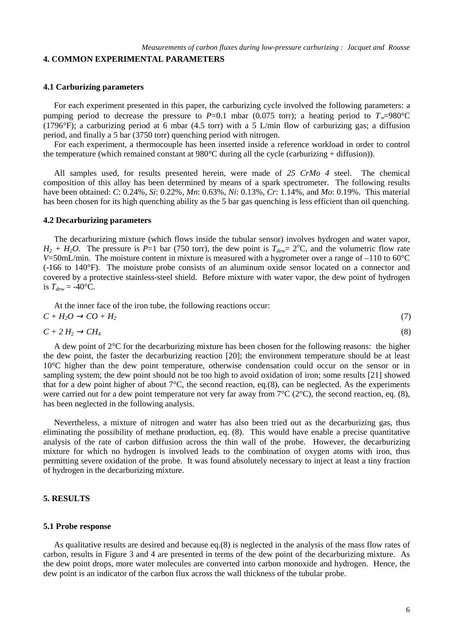### **4. COMMON EXPERIMENTAL PARAMETERS**

### **4.1 Carburizing parameters**

For each experiment presented in this paper, the carburizing cycle involved the following parameters: a pumping period to decrease the pressure to *P*=0.1 mbar (0.075 torr); a heating period to  $T_{\infty}$ =980°C  $(1796°F)$ ; a carburizing period at 6 mbar (4.5 torr) with a 5 L/min flow of carburizing gas; a diffusion period, and finally a 5 bar (3750 torr) quenching period with nitrogen.

For each experiment, a thermocouple has been inserted inside a reference workload in order to control the temperature (which remained constant at 980°C during all the cycle (carburizing + diffusion)).

All samples used, for results presented herein, were made of *25 CrMo 4* steel. The chemical composition of this alloy has been determined by means of a spark spectrometer. The following results have been obtained: *C*: 0.24%, *Si*: 0.22%, *Mn*: 0.63%, *Ni*: 0.13%, *Cr*: 1.14%, and *Mo*: 0.19%. This material has been chosen for its high quenching ability as the 5 bar gas quenching is less efficient than oil quenching.

#### **4.2 Decarburizing parameters**

The decarburizing mixture (which flows inside the tubular sensor) involves hydrogen and water vapor,  $H_2 + H_2O$ . The pressure is *P*=1 bar (750 torr), the dew point is  $T_{dew} = 2^{\circ}\text{C}$ , and the volumetric flow rate *V*=50mL/min. The moisture content in mixture is measured with a hygrometer over a range of –110 to 60°C (-166 to 140°F). The moisture probe consists of an aluminum oxide sensor located on a connector and covered by a protective stainless-steel shield. Before mixture with water vapor, the dew point of hydrogen is  $T_{dew} = -40$ °C.

At the inner face of the iron tube, the following reactions occur:  $C + H_2O \rightarrow CO + H_2$  (7)

$$
C + 2H_2 \to CH_4 \tag{8}
$$

A dew point of 2°C for the decarburizing mixture has been chosen for the following reasons: the higher the dew point, the faster the decarburizing reaction [20]; the environment temperature should be at least 10°C higher than the dew point temperature, otherwise condensation could occur on the sensor or in sampling system; the dew point should not be too high to avoid oxidation of iron; some results [21] showed that for a dew point higher of about  $7^{\circ}$ C, the second reaction, eq.(8), can be neglected. As the experiments were carried out for a dew point temperature not very far away from  $7^{\circ}C$  (2°C), the second reaction, eq. (8), has been neglected in the following analysis.

Nevertheless, a mixture of nitrogen and water has also been tried out as the decarburizing gas, thus eliminating the possibility of methane production, eq. (8). This would have enable a precise quantitative analysis of the rate of carbon diffusion across the thin wall of the probe. However, the decarburizing mixture for which no hydrogen is involved leads to the combination of oxygen atoms with iron, thus permitting severe oxidation of the probe. It was found absolutely necessary to inject at least a tiny fraction of hydrogen in the decarburizing mixture.

### **5. RESULTS**

#### **5.1 Probe response**

As qualitative results are desired and because eq.(8) is neglected in the analysis of the mass flow rates of carbon, results in Figure 3 and 4 are presented in terms of the dew point of the decarburizing mixture. As the dew point drops, more water molecules are converted into carbon monoxide and hydrogen. Hence, the dew point is an indicator of the carbon flux across the wall thickness of the tubular probe.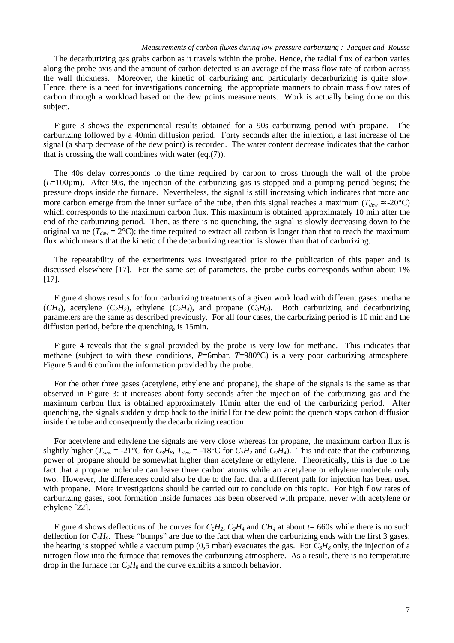#### *Measurements of carbon fluxes during low-pressure carburizing : Jacquet and Rousse*

The decarburizing gas grabs carbon as it travels within the probe. Hence, the radial flux of carbon varies along the probe axis and the amount of carbon detected is an average of the mass flow rate of carbon across the wall thickness. Moreover, the kinetic of carburizing and particularly decarburizing is quite slow. Hence, there is a need for investigations concerning the appropriate manners to obtain mass flow rates of carbon through a workload based on the dew points measurements. Work is actually being done on this subject.

Figure 3 shows the experimental results obtained for a 90s carburizing period with propane. The carburizing followed by a 40min diffusion period. Forty seconds after the injection, a fast increase of the signal (a sharp decrease of the dew point) is recorded. The water content decrease indicates that the carbon that is crossing the wall combines with water (eq.(7)).

The 40s delay corresponds to the time required by carbon to cross through the wall of the probe (*L*=100µm). After 90s, the injection of the carburizing gas is stopped and a pumping period begins; the pressure drops inside the furnace. Nevertheless, the signal is still increasing which indicates that more and more carbon emerge from the inner surface of the tube, then this signal reaches a maximum ( $T_{dev} \approx -20^{\circ}C$ ) which corresponds to the maximum carbon flux. This maximum is obtained approximately 10 min after the end of the carburizing period. Then, as there is no quenching, the signal is slowly decreasing down to the original value ( $T_{dew} = 2^{\circ}\text{C}$ ); the time required to extract all carbon is longer than that to reach the maximum flux which means that the kinetic of the decarburizing reaction is slower than that of carburizing.

The repeatability of the experiments was investigated prior to the publication of this paper and is discussed elsewhere [17]. For the same set of parameters, the probe curbs corresponds within about 1% [17].

Figure 4 shows results for four carburizing treatments of a given work load with different gases: methane  $(CH_4)$ , acetylene  $(C_2H_2)$ , ethylene  $(C_2H_4)$ , and propane  $(C_3H_8)$ . Both carburizing and decarburizing parameters are the same as described previously. For all four cases, the carburizing period is 10 min and the diffusion period, before the quenching, is 15min.

Figure 4 reveals that the signal provided by the probe is very low for methane. This indicates that methane (subject to with these conditions, *P*=6mbar, *T*=980°C) is a very poor carburizing atmosphere. Figure 5 and 6 confirm the information provided by the probe.

For the other three gases (acetylene, ethylene and propane), the shape of the signals is the same as that observed in Figure 3: it increases about forty seconds after the injection of the carburizing gas and the maximum carbon flux is obtained approximately 10min after the end of the carburizing period. After quenching, the signals suddenly drop back to the initial for the dew point: the quench stops carbon diffusion inside the tube and consequently the decarburizing reaction.

For acetylene and ethylene the signals are very close whereas for propane, the maximum carbon flux is slightly higher ( $T_{dew}$  = -21°C for  $C_3H_8$ ,  $T_{dew}$  = -18°C for  $C_2H_2$  and  $C_2H_4$ ). This indicate that the carburizing power of propane should be somewhat higher than acetylene or ethylene. Theoretically, this is due to the fact that a propane molecule can leave three carbon atoms while an acetylene or ethylene molecule only two. However, the differences could also be due to the fact that a different path for injection has been used with propane. More investigations should be carried out to conclude on this topic. For high flow rates of carburizing gases, soot formation inside furnaces has been observed with propane, never with acetylene or ethylene [22].

Figure 4 shows deflections of the curves for  $C_2H_2$ ,  $C_2H_4$  and  $CH_4$  at about  $t=660$ s while there is no such deflection for  $C_3H_8$ . These "bumps" are due to the fact that when the carburizing ends with the first 3 gases, the heating is stopped while a vacuum pump  $(0,5 \text{ mbar})$  evacuates the gas. For  $C_3H_8$  only, the injection of a nitrogen flow into the furnace that removes the carburizing atmosphere. As a result, there is no temperature drop in the furnace for  $C_3H_8$  and the curve exhibits a smooth behavior.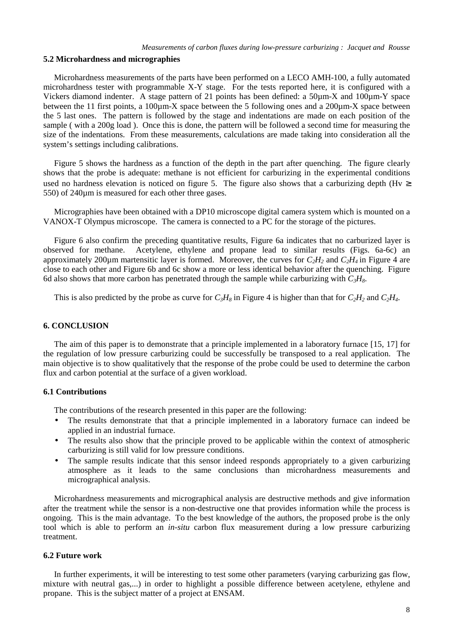### **5.2 Microhardness and micrographies**

Microhardness measurements of the parts have been performed on a LECO AMH-100, a fully automated microhardness tester with programmable X-Y stage. For the tests reported here, it is configured with a Vickers diamond indenter. A stage pattern of 21 points has been defined: a 50µm-X and 100µm-Y space between the 11 first points, a 100<sub>km</sub>-X space between the 5 following ones and a 200<sub>km</sub>-X space between the 5 last ones. The pattern is followed by the stage and indentations are made on each position of the sample ( with a 200g load ). Once this is done, the pattern will be followed a second time for measuring the size of the indentations. From these measurements, calculations are made taking into consideration all the system's settings including calibrations.

Figure 5 shows the hardness as a function of the depth in the part after quenching. The figure clearly shows that the probe is adequate: methane is not efficient for carburizing in the experimental conditions used no hardness elevation is noticed on figure 5. The figure also shows that a carburizing depth (Hv  $\geq$ 550) of 240µm is measured for each other three gases.

Micrographies have been obtained with a DP10 microscope digital camera system which is mounted on a VANOX-T Olympus microscope. The camera is connected to a PC for the storage of the pictures.

Figure 6 also confirm the preceding quantitative results, Figure 6a indicates that no carburized layer is observed for methane. Acetylene, ethylene and propane lead to similar results (Figs. 6a-6c) an approximately 200 $\mu$ m martensitic layer is formed. Moreover, the curves for  $C_2H_2$  and  $C_2H_4$  in Figure 4 are close to each other and Figure 6b and 6c show a more or less identical behavior after the quenching. Figure 6d also shows that more carbon has penetrated through the sample while carburizing with  $C_3H_8$ .

This is also predicted by the probe as curve for  $C_3H_8$  in Figure 4 is higher than that for  $C_2H_2$  and  $C_2H_4$ .

### **6. CONCLUSION**

The aim of this paper is to demonstrate that a principle implemented in a laboratory furnace [15, 17] for the regulation of low pressure carburizing could be successfully be transposed to a real application. The main objective is to show qualitatively that the response of the probe could be used to determine the carbon flux and carbon potential at the surface of a given workload.

#### **6.1 Contributions**

The contributions of the research presented in this paper are the following:

- The results demonstrate that that a principle implemented in a laboratory furnace can indeed be applied in an industrial furnace.
- The results also show that the principle proved to be applicable within the context of atmospheric carburizing is still valid for low pressure conditions.
- The sample results indicate that this sensor indeed responds appropriately to a given carburizing atmosphere as it leads to the same conclusions than microhardness measurements and micrographical analysis.

Microhardness measurements and micrographical analysis are destructive methods and give information after the treatment while the sensor is a non-destructive one that provides information while the process is ongoing. This is the main advantage. To the best knowledge of the authors, the proposed probe is the only tool which is able to perform an *in-situ* carbon flux measurement during a low pressure carburizing treatment.

### **6.2 Future work**

In further experiments, it will be interesting to test some other parameters (varying carburizing gas flow, mixture with neutral gas,...) in order to highlight a possible difference between acetylene, ethylene and propane. This is the subject matter of a project at ENSAM.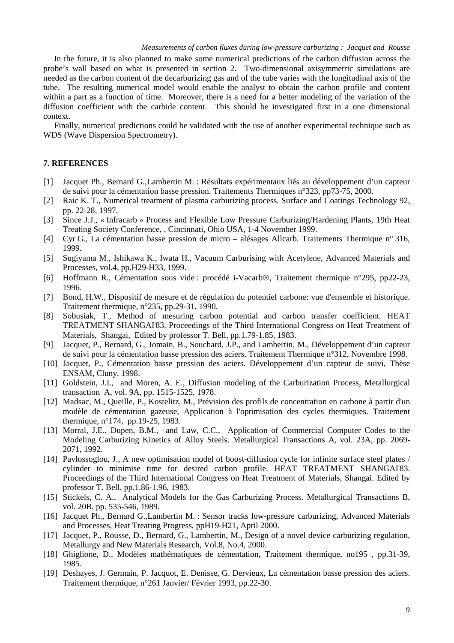In the future, it is also planned to make some numerical predictions of the carbon diffusion across the probe's wall based on what is presented in section 2. Two-dimensional axisymmetric simulations are needed as the carbon content of the decarburizing gas and of the tube varies with the longitudinal axis of the tube. The resulting numerical model would enable the analyst to obtain the carbon profile and content within a part as a function of time. Moreover, there is a need for a better modeling of the variation of the diffusion coefficient with the carbide content. This should be investigated first in a one dimensional context.

Finally, numerical predictions could be validated with the use of another experimental technique such as WDS (Wave Dispersion Spectrometry).

### **7. REFERENCES**

- [1] Jacquet Ph., Bernard G.,Lambertin M. : Résultats expérimentaux liés au développement d'un capteur de suivi pour la cémentation basse pression. Traitements Thermiques n°323, pp73-75, 2000.
- [2] Raic K. T., Numerical treatment of plasma carburizing process. Surface and Coatings Technology 92, pp. 22-28, 1997.
- [3] Since J.J., « Infracarb » Process and Flexible Low Pressure Carburizing/Hardening Plants, 19th Heat Treating Society Conference, , Cincinnati, Ohio USA, 1-4 November 1999.
- [4] Cyr G., La cémentation basse pression de micro alésages Allcarb. Traitements Thermique n° 316, 1999.
- [5] Sugiyama M., Ishikawa K., Iwata H., Vacuum Carburising with Acetylene, Advanced Materials and Processes, vol.4, pp.H29-H33, 1999.
- [6] Hoffmann R., Cémentation sous vide : procédé i-Vacarb®, Traitement thermique n°295, pp22-23, 1996.
- [7] Bond, H.W., Dispositif de mesure et de régulation du potentiel carbone: vue d'ensemble et historique. Traitement thermique, n°235, pp.29-31, 1990.
- [8] Sobusiak, T., Method of mesuring carbon potential and carbon transfer coefficient. HEAT TREATMENT SHANGAI'83. Proceedings of the Third International Congress on Heat Treatment of Materials, Shangai, Edited by professor T. Bell, pp.1.79-1.85, 1983.
- [9] Jacquet, P., Bernard, G., Jomain, B., Souchard, J.P., and Lambertin, M., Développement d'un capteur de suivi pour la cémentation basse pression des aciers, Traitement Thermique n°312, Novembre 1998.
- [10] Jacquet, P., Cémentation basse pression des aciers. Développement d'un capteur de suivi, Thèse ENSAM, Cluny, 1998.
- [11] Goldstein, J.I., and Moren, A. E., Diffusion modeling of the Carburization Process, Metallurgical transaction A, vol. 9A, pp. 1515-1525, 1978.
- [12] Madsac, M., Queille, P., Kostelitz, M., Prévision des profils de concentration en carbone à partir d'un modèle de cémentation gazeuse, Application à l'optimisation des cycles thermiques. Traitement thermique, n°174, pp.19-25, 1983.
- [13] Morral, J.E., Dupen, B.M., and Law, C.C., Application of Commercial Computer Codes to the Modeling Carburizing Kinetics of Alloy Steels. Metallurgical Transactions A, vol. 23A, pp. 2069- 2071, 1992.
- [14] Pavlossoglou, J., A new optimisation model of boost-diffusion cycle for infinite surface steel plates / cylinder to minimise time for desired carbon profile. HEAT TREATMENT SHANGAI'83. Proceedings of the Third International Congress on Heat Treatment of Materials, Shangai. Edited by professor T. Bell, pp.1.86-1.96, 1983.
- [15] Stickels, C. A., Analytical Models for the Gas Carburizing Process. Metallurgical Transactions B, vol. 20B, pp. 535-546, 1989.
- [16] Jacquet Ph., Bernard G.,Lambertin M. : Sensor tracks low-pressure carburizing, Advanced Materials and Processes, Heat Treating Progress, ppH19-H21, April 2000.
- [17] Jacquet, P., Rousse, D., Bernard, G., Lambertin, M., Design of a novel device carburizing regulation, Metallurgy and New Materials Research, Vol.8, No.4, 2000.
- [18] Ghiglione, D., Modèles mathématiques de cémentation, Traitement thermique, no195 , pp.31-39, 1985.
- [19] Deshayes, J. Germain, P. Jacquot, E. Denisse, G. Dervieux, La cémentation basse pression des aciers. Traitement thermique, n°261 Janvier/ Février 1993, pp.22-30.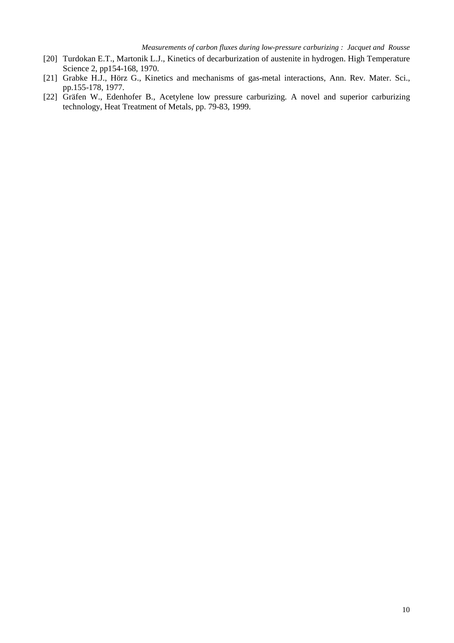- [20] Turdokan E.T., Martonik L.J., Kinetics of decarburization of austenite in hydrogen. High Temperature Science 2, pp154-168, 1970.
- [21] Grabke H.J., Hörz G., Kinetics and mechanisms of gas-metal interactions, Ann. Rev. Mater. Sci., pp.155-178, 1977.
- [22] Gräfen W., Edenhofer B., Acetylene low pressure carburizing. A novel and superior carburizing technology, Heat Treatment of Metals, pp. 79-83, 1999.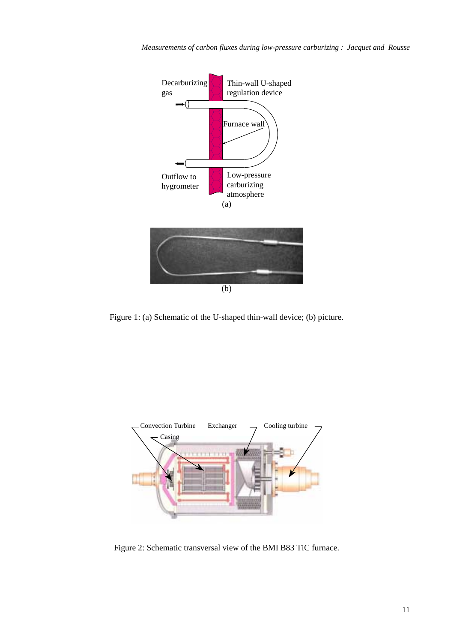*Measurements of carbon fluxes during low-pressure carburizing : Jacquet and Rousse*



Figure 1: (a) Schematic of the U-shaped thin-wall device; (b) picture.



Figure 2: Schematic transversal view of the BMI B83 TiC furnace.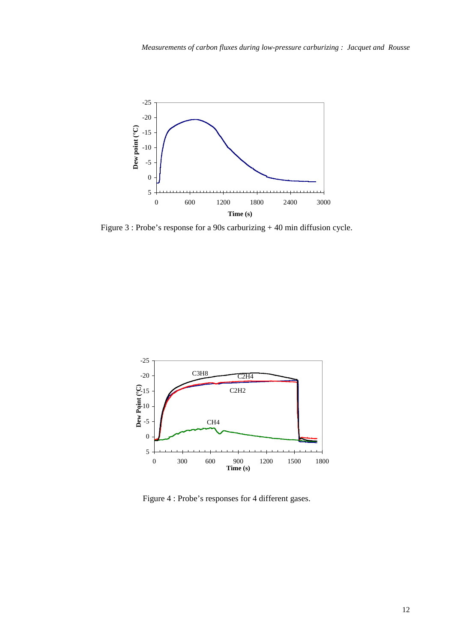

Figure 3 : Probe's response for a 90s carburizing + 40 min diffusion cycle.



Figure 4 : Probe's responses for 4 different gases.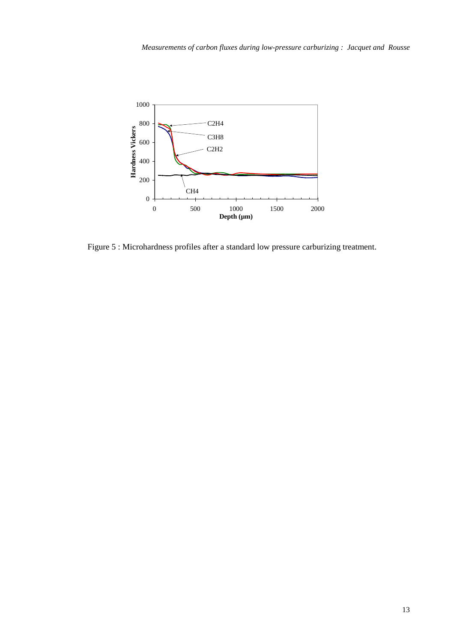

Figure 5 : Microhardness profiles after a standard low pressure carburizing treatment.